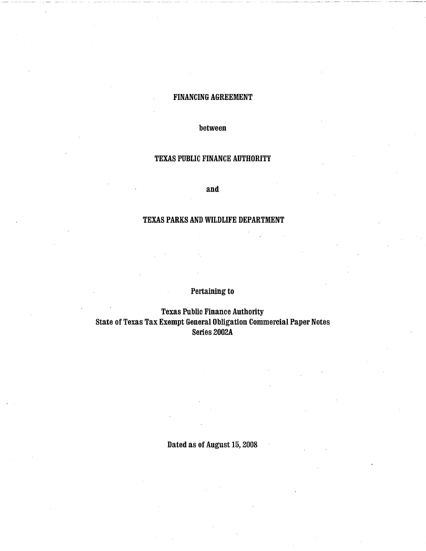## FINANCING AGREEMENT

between

## TEXAS PUBLIC FINANCE AUTHORITY

and

## TEXAS PARKS AND WILDLIFE DEPARTMENT

# Pertaining to

Texas PUblic Finance Authority State of Texas Tax Exempt General Obligation Commercial Paper Notes Series 2002A

Dated as of August 15, 2008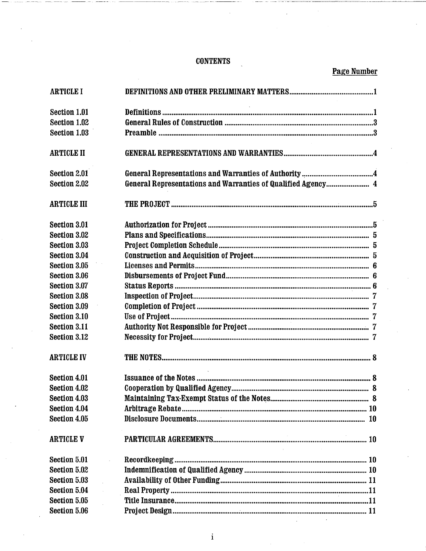# **CONTENTS**

Page Number

| <b>ARTICLE I</b>    |                                                              |  |
|---------------------|--------------------------------------------------------------|--|
| Section 1.01        |                                                              |  |
| Section 1.02        |                                                              |  |
| Section 1.03        |                                                              |  |
| <b>ARTICLE II</b>   |                                                              |  |
| Section 2.01        |                                                              |  |
| Section 2.02        | General Representations and Warranties of Qualified Agency 4 |  |
| <b>ARTICLE III</b>  |                                                              |  |
| <b>Section 3.01</b> |                                                              |  |
| Section 3.02        |                                                              |  |
| Section 3.03        |                                                              |  |
| Section 3.04        |                                                              |  |
| Section 3.05        |                                                              |  |
| Section 3.06        |                                                              |  |
| Section 3.07        |                                                              |  |
| Section 3.08        |                                                              |  |
| Section 3.09        |                                                              |  |
| Section 3.10        |                                                              |  |
| <b>Section 3.11</b> |                                                              |  |
| Section 3.12        |                                                              |  |
| <b>ARTICLE IV</b>   |                                                              |  |
| <b>Section 4.01</b> |                                                              |  |
| Section 4.02        |                                                              |  |
| Section 4.03        |                                                              |  |
| Section 4.04        |                                                              |  |
| Section 4.05        |                                                              |  |
| <b>ARTICLE V</b>    |                                                              |  |
| Section 5.01        |                                                              |  |
| Section 5.02        |                                                              |  |
| Section 5.03        |                                                              |  |
| Section 5.04        |                                                              |  |
| Section 5.05        |                                                              |  |
| Section 5.06        |                                                              |  |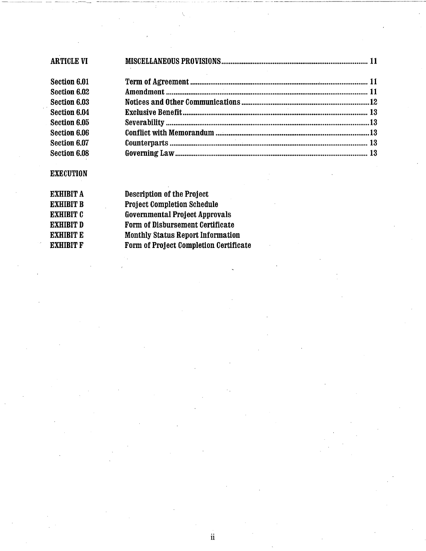| <b>ARTICLE VI</b> |  |  |  |
|-------------------|--|--|--|
| Section 6.01      |  |  |  |
| Section 6.02      |  |  |  |
| Section 6.03      |  |  |  |
| Section 6.04      |  |  |  |
| Section 6.05      |  |  |  |
| Section 6.06      |  |  |  |
| Section 6.07      |  |  |  |
| Section 6.08      |  |  |  |

 $\ddot{\mathbf{i}}$ 

--~~---~--- -~ -------------------

# **EXECUTION**

| EXHIBIT A | <b>Description of the Project</b>        |
|-----------|------------------------------------------|
| EXHIBIT B | <b>Project Completion Schedule</b>       |
| EXHIBIT C | <b>Governmental Project Approvals</b>    |
| EXHIBIT D | Form of Disbursement Certificate         |
| EXHIBIT E | <b>Monthly Status Report Information</b> |
| EXHIBIT F | Form of Project Completion Certificate   |
|           |                                          |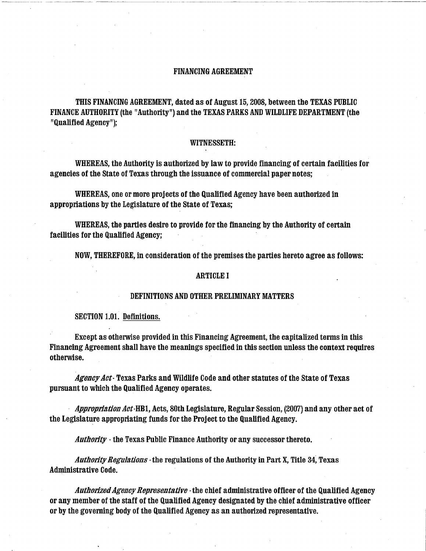## FINANCING AGREEMENT

THIS FINANCING AGREEMENT, dated as of August 15, 2008, between the TEXAS PUBLIC FINANCE AUTHORITY (the "Authority") and the TEXAS PARKS AND WILDLIFE DEPARTMENT (the "Qualified Agency");

-------- ----------- -- ------ ----·---------·---· ------------

#### WITNESSETH:

WHEREAS, the Authority is authorized by law to provide financing of certain facilities for agencies of the State of Texas through the issuance of commercial paper notes;

WHEREAS, one or more projects of the Qualified Agency have been authorized in appropriations by the Legislature of the State of Texas;

WHEREAS, the parties desire to provide for the financing by the Authority of certain facilities for the Qualified Agency;

NOW, THEREFORE, in consideration of the premises the parties hereto agree as follows:

#### ARTICLE I

## DEFINITIONS AND OTHER PRELIMINARY MATTERS

SECTION 1.01. Definitions.

Except as otherwise provided in this Financing Agreement, the capitalized terms in this Financing Agreement shall have the meanings specified in this section unless the context requires otherwise.

*Agency Act·* Texas Parks and Wildlife Code and other statutes of the State of Texas pursuant to which the Qualified Agency operates.

*Appropriation Act·HBl,* Acts, 80th Legislature, Regular Session, (2007) and any other act of the Legislature appropriating funds for the Project to the Qualified Agency.

*Authority* · the Texas Public Finance Authority or any successor thereto.

*Authority Regulations·* the regulations of the Authority in Part X, Title 34; Texas Administrative Code.

*Authorized Agency Representative* ·the chief administrative officer of the Qualified Agency or any member of the staff of the Qualified Agency designated by the chief administrative officer or by the governing body of the Qualified Agency as an authorized representative.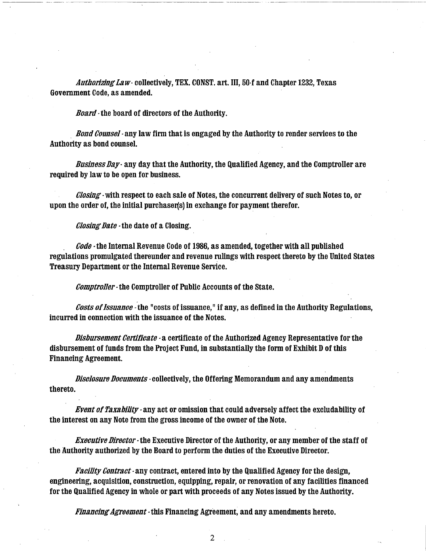Authorizing Law- collectively, TEX. CONST. art. III, 50-f and Chapter 1232, Texas Government Code, as amended.

Board - the board of directors of the Authority.

---~ ~-~-·~ -------------

Bond Counsel - any law firm that is engaged by the Authority to render services to the Authority as bond counsel.

Business Day - any day that the Authority, the Qualified Agency, and the Comptroller are required by law to be open for business.

Closing - with respect to each sale of Notes, the concurrent delivery of such Notes to, or upon the order of, the initial purchaser(s) in exchange for payment therefor.

Closing Date ·the date of a Closing.

 $\emph{Code}$  -the Internal Revenue Code of 1986, as amended, together with all published regulations promulgated thereunder and revenue rulings with respect thereto by the United States Treasury Department or the Internal Revenue Service.

Comptroller-the Comptroller of Public Accounts of the State.

Costs of Issuance - the "costs of issuance," if any, as defined in the Authority Regulations, incurred in connection with the issuance of the Notes.

Disbursement Certificate - a certificate of the Authorized Agency Representative for the disbursement of funds from the Project Fund, in substantially the form of Exhibit D of this Financing Agreement.

Disclosure Documents - collectively, the Offering Memorandum and any amendments thereto.

Event of Taxability· any act or omission that could adversely affect the excludability of the interest on any Note from the gross income of the owner of the Note.

**Executive Director** - the Executive Director of the Authority, or any member of the staff of the Authority authorized by the Board to perform the duties of the Executive Director.

Facility Contract- any contract, entered into by the Qualified Agency for the design, engineering, acquisition, construction, equipping, repair, or renovation of any facilities financed for the Qualified Agency in whole or part with proceeds of any Notes issued by the Authority.

Financing Agreement - this Financing Agreement, and any amendments hereto.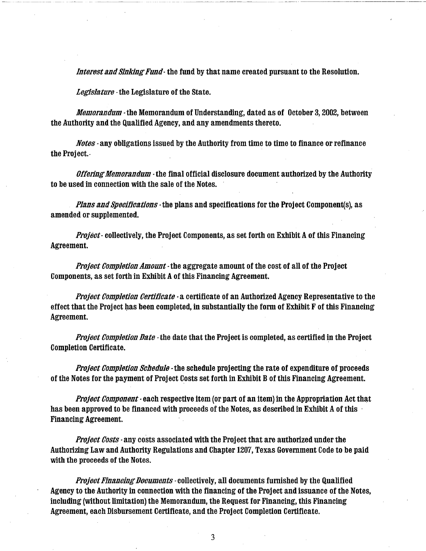Interest and Sinking Fund- the fund by that name created pursuant to the Resolution.

Legislature -the Legislature of the State.

Memorandum- the Memorandum of Understanding, dated as of October 3, 2002, between the Authority and the Qualified Agency, and any amendments thereto.

Notes - any obligations issued by the Authority from time to time to finance or refinance the Project.

Offering Memorandum - the final official disclosure document authorized by the Authority to be used in connection with the sale of the Notes.

Plans and Specifications - the plans and specifications for the Project Component(s), as amended or supplemented.

Project- collectively, the Project Components, as set forth on Exhibit A of this Financing Agreement.

Project Completion Amount-the aggregate amount of the cost of all of the Project Components, as set forth in Exhibit A of this Financing Agreement.

Project Completion Certificate  $\cdot$  a certificate of an Authorized Agency Representative to the effect that the Project has been completed, in substantially the form of Exhibit F of this Financing Agreement.

Project Completion Date - the date that the Project is completed, as certified in the Project Completion Certificate.

Project Completion Schedule - the schedule projecting the rate of expenditure of proceeds of the Notes for the payment of Project Costs set forth in Exhibit B of this Financing Agreement.

Project Component - each respective item (or part of an item) in the Appropriation Act that has been approved to be financed with proceeds of the Notes, as described in Exhibit A of this Financing Agreement.

**Project Costs - any costs associated with the Project that are authorized under the** Authorizing Law and Authority Regulations and Chapter 1207, Texas Government Code to be paid with the proceeds of the Notes.

Project Financing Documents - collectively, all documents furnished by the Qualified Agency to the Authority in connection with the financing of the Project and issuance of the Notes, including (without limitation) the Memorandum, the Request for Financing, this Financing Agreement, each Disbursement Certificate, and the Project Completion Certificate.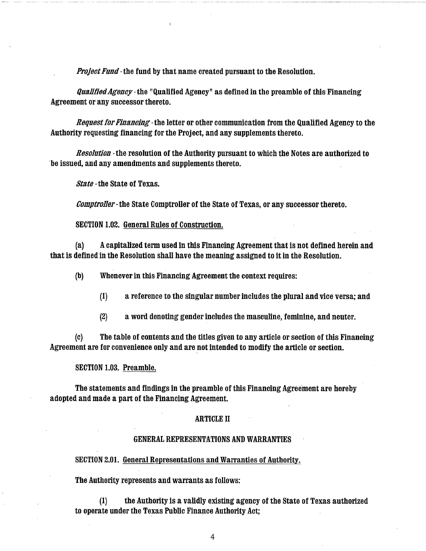Project Fund · the fund by that name created pursuant to the Resolution.

Qualified Agency· the "Qualified Agency" as defined in the preamble of this Financing Agreement or any successor thereto.

Request for Financing - the letter or other communication from the Qualified Agency to the Authority requesting financing for the Project, and any supplements thereto.

Resolution · the resolution of the Authority pursuant to which the Notes are authorized to ·be issued, and any amendments and supplements thereto.

State ·the State of Texas.

Comptroller· the State Comptroller of the State of Texas, or any successor thereto.

SECTION 1.02. General Rules of Construction.

(a) A capitalized term used in this Financing Agreement that is not defined herein and that is defined in the Resolution shall have the meaning assigned to it in the Resolution.

(b) Whenever in this Financing Agreement the context requires:

 $(1)$  a reference to the singular number includes the plural and vice versa; and

(2) a word denoting gender includes the masculine, feminine, and neuter.

(c) The table of contents and the titles given to any article or section of this Financing Agreement are for convenience only and are not intended to modify the article or section.

## SECTION 1.03. Preamble.

The statements and findings in the preamble of this Financing Agreement are hereby adopted and made a part of the Financing Agreement.

### ARTICLE II

### GENERAL REPRESENTATIONS AND WARRANTIES

SECTION 2.01. General Representations and Warranties of Authority.

The Authority represents and warrants as follows:

(1) the Authority is a validly existing agency of the State of Texas authorized to operate under the Texas Public Finance Authority Act;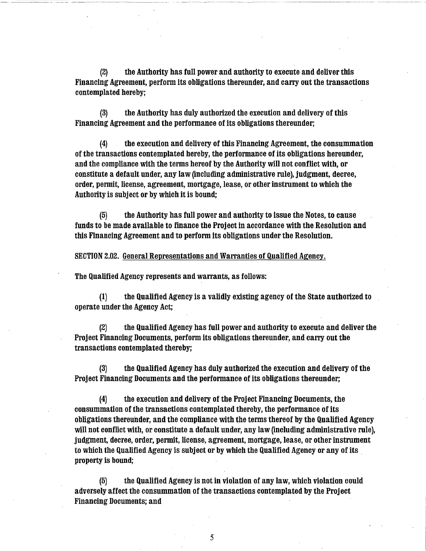(2) the Authority has full power and authority to execute and deliver this Financing Agreement, perform its obligations thereunder, and carry out the transactions contemplated hereby;

(3) the Authority has duly authorized the execution and delivery of this Financing Agreement and the performance of its obligations thereunder;

(4) the execution and delivery of this Financing Agreement, the consummation of the transactions contemplated hereby, the performance of its obligations hereunder, and the compliance with the terms hereof by the Authority will not conflict with, or constitute a default under, any law (including administrative rule), judgment, decree, order, permit, license, agreement, mortgage, lease, or other instrument to which the Authority is subject or by which it is bound;

(5) the Authority has full power and authority to issue the Notes, to cause funds to be made available to finance the Project in accordance with the Resolution and this Financing Agreement and to perform its obligations under the Resolution.

SECTION 2.02. General Representations and Warranties of Qualified Agency.

The Qualified Agency represents and warrants, as follows:

(1) the Qualified Agency is a validly existing agency of the State authorized to operate under the Agency Act;

(2) the Qualified Agency has full power and authority to execute and deliver the Project Financing Documents, perform its obligations thereunder, and carry out the transactions contemplated thereby;

(3) the Qualified Agency has duly authorized the execution and delivery of the Project Financing Documents and the performance of its obligations thereunder;

(4) the execution and delivery of the Project Financing Documents, the consummation of the transactions contemplated thereby, the performance of its obligations thereunder, and the compliance with the terms thereof by the Qualified Agency will not conflict with, or constitute a default under, any law (including administrative rule), judgment, decree, order, permit, license, agreement, mortgage, lease, or other instrument to which the Qualified Agency is subject or by which the Qualified Agency or any of its property is bound;

(5) the Qualified Agency is not in violation of any law, which violation could adversely affect the consummation of the transactions contemplated by the Project Financing Documents; and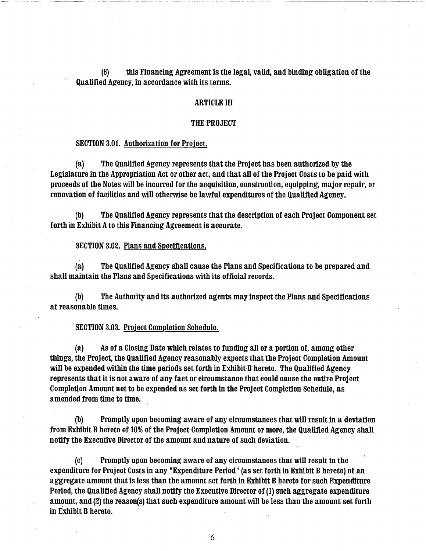(6) this Financing Agreement is the legal, valid, and binding obligation of the Qualified Agency, in accordance with its terms.

## ARTICLE III

#### THE PROJECT

### SECTION 3.01. Authorization for Project.

(a) The Qualified Agency represents that the Project has been authorized by the Legislature in the Appropriation Act or other act, and that all of the Project Costs to be paid with proceeds of the Notes will be incurred for the acquisition, construction, equipping, major repair, or renovation of facilities and will otherwise be lawful expenditures of the Qualified Agency.

(b) The Qualified Agency represents that the description of each Project Component set forth in Exhibit A to this Financing Agreement is accurate.

#### SECTION 3.02. Plans and Specifications.

(a) The Qualified Agency shall cause the Plans and Specifications to be prepared and shall maintain the Plans and Specifications with its official records.

(b) The Authority and its authorized agents may inspect the Plans and Specifications at reasonable times.

SECTION 3.03. Project Completion Schedule.

(a) As of a Closing Date which relates to funding all or a portion of, among other things, the Project, the Qualified Agency reasonably expects that the Project Completion Amount will be expended within the time periods set forth in Exhibit-B hereto. The Qualified Agency represents that it is not aware of any fact or circumstance that could cause the entire Project Completion Amount not to be expended as set forth in the Project Completion Schedule, as amended from time to time.

(b) Promptly upon becoming aware of any circumstances that will result in a deviation from Exhibit B hereto of 10% of the Project Completion Amount or more, the Qualified Agency shall notify the Executive Director of the amount and nature of such deviation.

(c) Promptly upon becoming aware of any circumstances that will result in the expenditure for Project Costs in any "Expenditure Period" (as set forth in Exhibit B hereto) of an aggregate amount that is less than the amount set forth in Exhibit B hereto for such Expenditure Period, the Qualified Agency shall notify the Executive Director of (1) such aggregate expenditure amount, and (2) the reason(s) that such expenditure amount will be less than the amount set forth in Exhibit B hereto.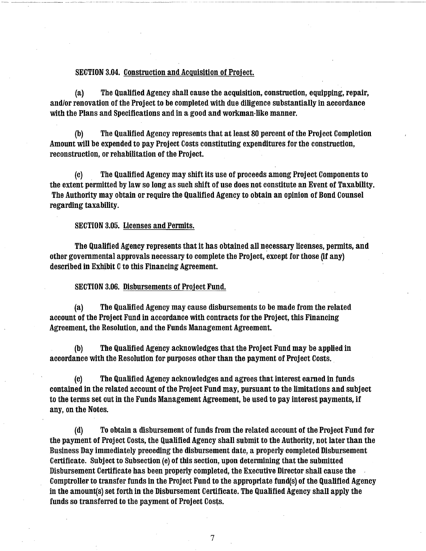#### SECTION 3.04. Construction and Acquisition of Project.

(a) The Qualified Agency shall cause the acquisition, construction, equipping, repair, and/or renovation of the Project to be completed with due diligence substantially in accordance with the Plans and Specifications and in a good and workman-like manner.

(b) The Qualified Agency represents that at least 80 percent of the Project Completion Amount will be expended to pay Project Costs constituting expenditures for the construction, reconstruction, or rehabilitation of the Project.

(c) The Qualified Agency may shift its use of proceeds among Project Components to the extent permitted by law so long as such shift of use does not constitute an Event of Taxability. The Authority may obtain or require the Qualified Agency to obtain an opinion of Bond Counsel regarding taxability.

SECTION 3.05. Licenses and Permits.

The Qualified Agency represents that it has obtained all necessary licenses, permits, and other governmental approvals necessary to complete the Project, except for those (if any) described in Exhibit C to this Financing Agreement.

SECTION 3.06. Disbursements of Project Fund.

(a) The Qualified Agency may cause disbursements to be made from the related account of the Project Fund in accordance with contracts for the Project, this Financing Agreement, the Resolution, and the Funds Management Agreement.

(b) The Qualified Agency acknowledges that the Project Fund may be applied in accordance with the Resolution for purposes other than the payment of Project Costs.

(c) The Qualified Agency acknowledges and agrees that interest earned in funds contained in the related account of the Project Fund may, pursuant to the limitations and subject to the terms set out in the Funds Management Agreement, be used to pay interest payments, if any, on the Notes.

(d) To obtain a disbursement of funds from the related account of the Project Fund for the payment of Project Costs, the Qualified Agency shall submit to the Authority, not later than the Business Day immediately preceding the disbursement date, a properly completed Disbursement Certificate. Subject to Subsection (e) of this section, upon determining that the submitted Disbursement Certificate has been properly completed, the Executive Director shall cause the . Comptroller to transfer funds in the Project Fund to the appropriate fund(s) of the Qualified Agency in the amount(s) set forth in the Disbursement Certificate. The Qualified Agency shall apply the funds so transferred to the payment of Project Costs.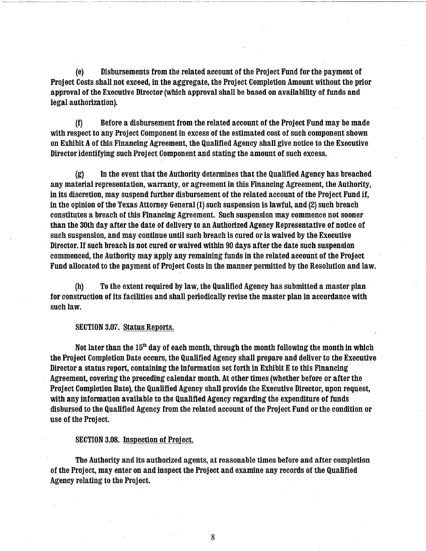(e) Disbursements from the related account of the Project Fund for the payment of Project Costs shall not exceed, in the aggregate, the Project Completion Amount without the prior approval of the Executive Director (which approval shall be based on availability of funds and legal authorization).

... ·-·- ····----~~------··-·-·---~------ --~--~

(f) Before a disbursement from the related account of the Project Fund may be made with respect to any Project Component in excess of the estimated cost of such component shown on Exhibit A of this Financing Agreement, the Qualified Agency shall give notice to the Executive Director identifying such Project Component and stating the amount of such excess.

(g) In the event that the Authority determines that the Qualified Agency has breached any material representation, warranty, or agreement in this Financing Agreement, the Authority, in its discretion, may suspend further disbursement of the related account of the Project Fund if, in the opinion of the Texas Attorney General (1) such suspension is lawful, and (2) such breach constitutes a breach of this Financing Agreement. Such suspension may commence not sooner than the 30th day after the date of delivery to an Authorized Agency Representative of notice of such suspension, and may continue until such breach is cured or is waived by the Executive Director. If such breach is not cured or waived within 90 days after the date such suspension commenced, the Authority may apply any remaining funds in the related account of the Project Fund allocated to the payment of Project Costs in the manner permitted by the Resolution and law.

(h) To the extent required by law, the Qualified Agency has submitted a master plan for construction of its facilities and shall periodically revise the master plan in accordance with such law.

### SECTION 3.07. Status Reports.

Not later than the  $15<sup>th</sup>$  day of each month, through the month following the month in which the Project Completion Date occurs, the Qualified Agency shall prepare and deliver to the Executive Director a status report, containing the information set forth in Exhibit E to this Financing Agreement, covering the preceding calendar month. At other times (whether before or after the Project Completion Date), the Qualified Agency shall provide the Executive Director, upon request, with any information available to the Qualified Agency regarding the expenditure of funds disbursed to the Qualified Agency from the related account of the Project Fund or the condition or use of the Project.

### SECTION 3.08. Inspection of Project.

The Authority and its authorized agents, at reasonable times before and after completion of the Project, may enter on and inspect the Project and examine any records of the Qualified Agency relating to the Project.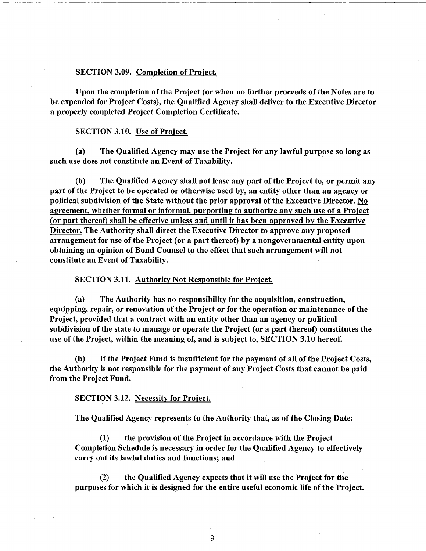#### SECTION 3.09. Completion of Project.

Upon the completion of the Project (or when no further proceeds of the Notes are to be expended for Project Costs), the Qualified Agency shall deliver to the Executive Director a properly completed Project Completion Certificate.

#### SECTION 3.10. Use of Project.

-~ --------~~-----~ ---------

(a) The Qualified Agency may use the Project for any lawful purpose so long as such use does not constitute an Event of Taxability.

(b) The Qualified Agency shall not lease any part of the Project to, or permit any part of the Project to be operated or otherwise used by, an entity other than an agency or political subdivision of the State without the prior approval of the Executive Director. No agreement, whether formal or informal, purporting to authorize any such use of a Project (or part thereof) shall be effective unless and until it has been approved by the Executive Director. The Authority shall direct the Executive Director to approve any proposed arrangement for use of the Project (or a part thereof) by a nongovernmental entity upon obtaining an opinion of Bond Counsel to the effect that such arrangement will not constitute an Event of Taxability.

SECTION 3.1L Authority Not Responsible for Project.

(a) The Authority has no responsibility for the acquisition, construction, equipping, repair, or renovation of the Project or for the operation or maintenance of the Project, provided that a contract with an entity other than an agency or political subdivision of the state to manage or operate the Project (or a part thereof) constitutes the use of the Project, within the meaning of, and is subject to, SECTION 3.10 hereof.

(b) If the Project Fund is insufficient for the payment of all of the Project Costs, the Authority is not responsible for the payment of any Project Costs that cannot be paid from the Project Fund.

SECTION 3.12. Necessity for Project.

The Qualified Agency represents to the Authority that, as of the Closing Date:

(1) the provision of the Project in accordance with the Project Completion Schedule is necessary in order for the Qualified Agency to effectively carry out its lawful duties and functions; and

(2) the Qualified Agency expects that it will use the Project for the purposes for which it is designed for the entire useful economic life of the Project.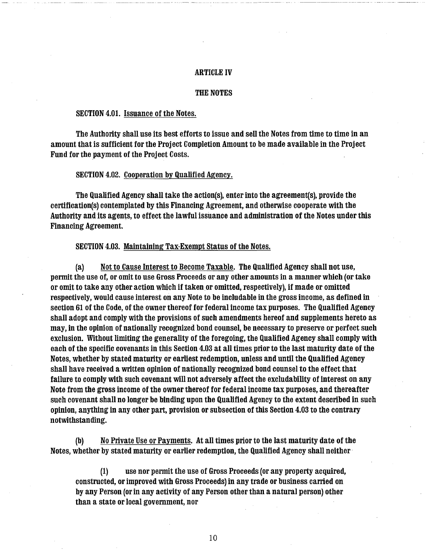## ARTICLE IV

#### THE NOTES

## SECTION 4.01. Issuance of the Notes.

The Authority shall use its best efforts to issue and sell the Notes from time to time in an amount that is sufficient for the Project Completion Amount to be made available in the Project Fund for the payment of the Project Costs.

#### SECTION 4.02. Cooperation by Qualified Agency.

The Qualified Agency shall take the action(s), enter into the agreement(s), provide the certification(s) contemplated by this Financing Agreement, and otherwise cooperate with the Authority and its agents, to effect the lawful issuance and administration of the Notes under this Financing Agreement.

#### SECTION 4.03. Maintaining Tax-Exempt Status of the Notes.

(a) Not to Cause Interest to Become Taxable. The Qualified Agency shall not use, permit the use of, or omit to use Gross Proceeds or any other amounts in a manner which (or take or omit to take any other action which if taken or omitted, respectively), if made or omitted respectively, would cause interest on any Note to be includable in the gross income, as defined in section 61 of the Code, of the owner thereof for federal income tax purposes. The Qualified Agency shall adopt and comply with the provisions of such amendments hereof and supplements hereto as may, in the opinion of nationally recognized bond counsel, be necessary to preserve or perfect such exclusion. Without limiting the generality of the foregoing, the Qualified Agency shall comply with each of the specific covenants in this Section 4.03 at all times prior to the last maturity date of the Notes, whether by stated maturity or earliest redemption, unless and until the Qualified Agency shall have received a written opinion of nationally recognized bond counsel to the effect that failure to comply with such covenant will not adversely affect the excludability of interest on any Note from the gross income of the owner thereof for federal income tax purposes, and thereafter such covenant shall no longer be binding upon the Qualified Agency to the extent described in such opinion, anything in any other part, provision or subsection of this Section 4.03 to the contrary notwithstanding.

(b) No Private Use or Payments. At all times prior to the last maturity date of the Notes, whether by stated maturity or earlier redemption, the Qualified Agency shall neither·

(1) use nor permit the use of Gross Proceeds (or any property acquired, constructed, or improved with Gross Proceeds) in any trade or business carried on by any Person (or in any activity of any Person other than a natural person) other than a state or local government, nor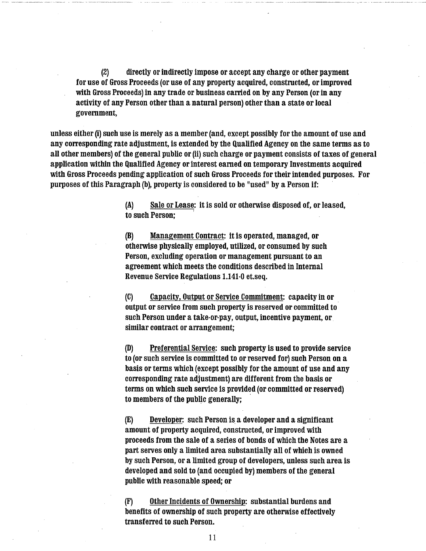(2) directly or indirectly impose or accept any charge or other payment for use of Gross Proceeds (or use of any property acquired, constructed, or improved with Gross Proceeds) in any trade or business carried on by any Person (or in any activity of any Person other than a natural person) other than a state or local government,

unless either (i) such use is merely as a member (and, except possibly for the amount of use and any corresponding rate adjustment, is extended by the Qualified Agency on the same terms as to all other members) of the general public or (ii) such charge or payment consists of taxes of general application within the Qualified Agency or interest earned on temporary Investments acquired with Gross Proceeds pending application of such Gross Proceeds for their intended purposes. For purposes of this Paragraph (b), property is considered to be "used" by a Person if:

> (A) Sale or Lease: it is sold or otherwise disposed of, or leased, to such Person;

(B) Management Contract: it is operated, managed, or otherwise physically employed, utilized, or consumed by such Person, excluding operation or management pursuant to an agreement which meets the conditions described in Internal Revenue Service Regulations 1.141-0 et.seq.

(C) Capacity, Output or Service Commitment: capacity in or output or service from such property is reserved or committed to such Person under a take-or-pay, output, incentive payment, or similar contract or arrangement;

(D) Preferential Service: such property is used to provide service to (or such service is committed to or reserved for) such Person on a basis or terms which (except possibly for the amount of use and any corresponding rate adjustment) are different from the basis or terms on which such service is provided (or committed or reserved) to members of the public generally;

(E) Developer: such Person is a developer and a significant amount of property acquired, constructed, or improved with proceeds from the sale of a series of bonds of which the Notes are a part serves only a limited area substantially all of which is owned by such Person, or a limited group of developers, unless such area is developed and sold to (and occupied by) members of the general public with reasonable speed; or

(F) Other Incidents of Ownership: substantial burdens and benefits of ownership of such property are otherwise effectively transferred to such Person.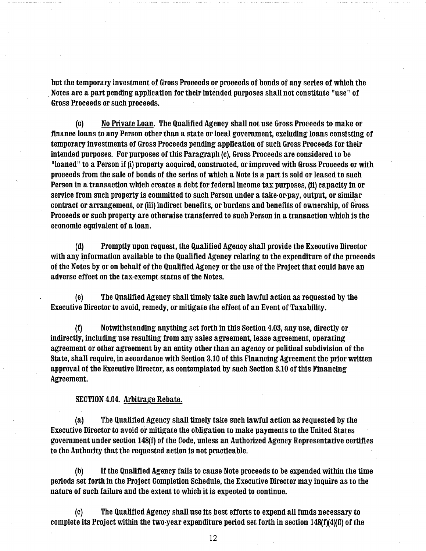but the temporary investment of Gross Proceeds or proceeds of bonds of any series of which the . Notes are a part pending application for their intended purposes shall not constitute "use" of Gross Proceeds or such proceeds.

(c) No Private Loan. The Qualified Agency shall not use Gross Proceeds to make or finance loans to any Person other than a state or local government, excluding loans consisting of temporary investments of Gross Proceeds pending application of such Gross Proceeds for their intended purposes. For purposes of this Paragraph (c), Gross Proceeds are considered to be "loaned" to a Person if (i) property acquired, constructed, or improved with Gross Proceeds or with proceeds from the sale of bonds of the series of which a Note is a part is sold or leased to such Person in a transaction which creates a debt for federal income tax purposes, (ii) capacity in or service from such property is committed to such Person under a take-or-pay, output, or similar contract or arrangement, or (iii) indirect benefits, or burdens and benefits of ownership, of Gross Proceeds or such property are otherwise transferred to such Person in a transaction which is the economic equivalent of a loan.

(d) Promptly upon request, the Qualified Agency shall provide the Executive Director with any information available to the Qualified Agency relating to the expenditure of the proceeds of the Notes by or on behalf of the Qualified Agency or the use of the Project that could have an adverse effect on the tax-exempt status of the Notes.

(e) The Qualified Agency shall timely take such lawful action as requested by the Executive Director to avoid, remedy, or mitigate the effect of an Event of Taxability.

(f) Notwithstanding anything set forth in this Section 4.03, any use, directly or indirectly, including use resulting from any sales agreement, lease agreement, operating agreement or other agreement by an entity other than an agency or political subdivision of the State, shall require, in accordance with Section 3.10 of this Financing Agreement the prior written approval of the Executive Director, as contemplated by such Section 3.10 of this Financing Agreement.

## SECTION 4.04. Arbitrage Rebate.

(a) · The Qualified Agency shall timely take such lawful action as requested by the Executive Director to avoid or mitigate the obligation to make payments to the United States government under section 148(f) of the Code, unless an Authorized Agency Representative certifies to the Authority that the requested action is not practicable.

(b) If the Qualified Agency fails to cause Note proceeds to be expended within the time periods set forth in the Project Completion Schedule, the Executive Director may inquire as to the nature of such failure and the extent to which it is expected to continue.

(c) The Qualified Agency shall use its best efforts to expend all funds necessary to complete its Project within the two-year expenditure period set forth in section  $148(f)(4)(C)$  of the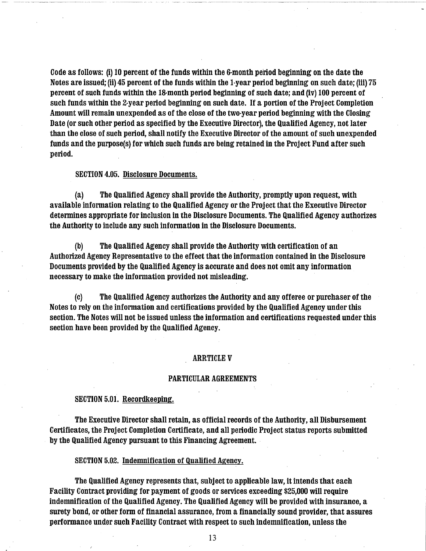Code as follows: (i) 10 percent of the funds within the 6-month period beginning on the date the Notes are issued; (ii) 45 percent of the funds within the 1-year period beginning on such date; (iii) 75 percent of such funds within the 18-month period beginning of such date; and (iv) 100 percent of such funds within the 2-year period beginning on such date. If a portion of the Project Completion Amount will remain unexpended as of the close of the two-year period beginning with the Closing Date (or such other period as specified by the Executive Director), the Qualified Agency, not later than the close of such period, shall notify the Executive Director of the amount of such unexpended funds and the purpose(s) for which such funds are being retained in the Project Fund after such period.

## SECTION 4.05. Disclosure Documents.

(a) The Qualified Agency shall provide the Authority, promptly upon request, with available information relating to the Qualified Agency or the Project that the Executive Director determines appropriate for inclusion in the Disclosure Documents. The Qualified Agency authorizes the Authority to include any such information in the Disclosure Documents.

(b) The Qualified Agency shall provide the Authority with certification of an Authorized Agency Representative to the effect that the information contained in the Disclosure Documents provided by the Qualified Agency is accurate and does not omit any information necessary to make the information provided not misleading.

(c) The Qualified Agency authorizes the Authority and any offeree or purchaser of the Notes to rely on the information and certifications provided by the Qualified Agency under this section. The Notes will not be issued unless the information and certifications requested under this section have been provided by the Qualified Agency.

#### ARRTICLE V

#### PARTICULAR AGREEMENTS

#### SECTION 5.01. Recordkeeping.

The Executive Director shall retain, as official records of the Authority, all Disbursement Certificates, the Project Completion Certificate, and all periodic Project status reports submitted by the Qualified Agency pursuant to this Financing Agreement.

## SECTION 5.02. Indemnification of Qualified Agency.

The Qualified Agency represents that, subject to applicable law, it intends that each Facility Contract providing for payment of goods or services exceeding \$25,000 will require indemnification of the Qualified Agency. The Qualified Agency will be provided with insurance, a surety bond, or other form of financial assurance, from a financially sound provider, that assures performance under such Facility Contract with respect to such indemnification, unless the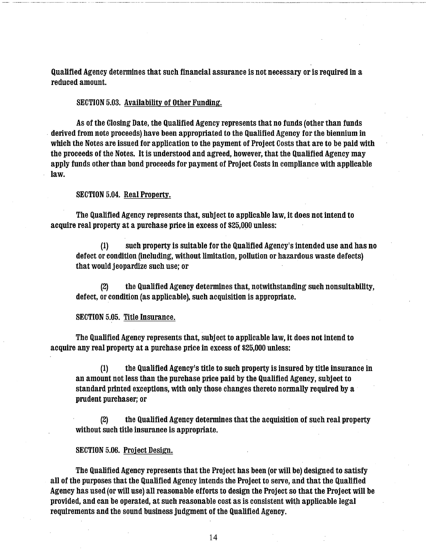Qualified Agency detennines that such financial assurance is not necessary or is required in a reduced amount.

## SECTION 5.03. Availability of Other Funding.

As of the Closing Date, the Qualified Agency represents that no funds (other than funds . derived from note proceeds) have been appropriated to the Qualified Agency for the biennium in which the Notes are issued for application to the payment of Project Costs that are to be paid with the proceeds of the Notes. It is understood and agreed, however, that the Qualified Agency may apply funds other than bond proceeds for payment of Project Costs in compliance with applicable law.

## SECTION 5.04. Real Property.

The Qualified Agency represents that, subject to applicable law, it does not intend to acquire real property at a purchase price in excess of \$25,000 unless:

(1) such property is suitable for the Qualified Agency's intended use and has no defect or condition (including, without limitation, pollution or hazardous waste defects) that would jeopardize such use; or

(2) the Qualified Agency determines that, notwithstanding such nonsuitability, defect, or condition (as applicable), such acquisition is appropriate.

#### SECTION 5.05. Title Insurance.

The Qualified Agency represents that, subject to applicable law, it does not intend to acquire any real property at a purchase price in excess of \$25,000 unless:

(1) the Qualified Agency's title to such property is insured by title insurance in an amount not less than the purchase price paid by the Qualified Agency, subject to standard printed exceptions, with only those changes thereto normally required by a prudent purchaser; or

(2) the Qualified Agency detennines that the acquisition of such real property without such title insurance is appropriate.

#### SECTION 5.06. Project Design.

The Qualified Agency represents that the Project has been (or will be) designed to satisfy all of the purposes that the Qualified Agency intends the Project to serve, and that the Qualified Agency has used (or will use) all reasonable efforts to design the Project so that the Project will be provided, and can be operated, at such reasonable cost as is consistent with applicable legal requirements and the sound business judgment of the Qualified Agency.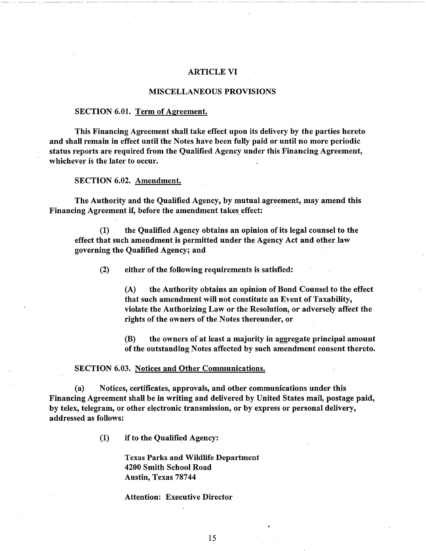### ARTICLE VI

### MISCELLANEOUS PROVISIONS

### SECTION 6.01. Term of Agreement.

This Financing Agreement shall take effect upon its delivery by the parties hereto and shall remain in effect until the Notes have been fully paid or until no more periodic status reports are required from the Qualified Agency under this Financing Agreement, whichever is the later to occur.

SECTION 6.02. Amendment.

The Authority and the Qualified Agency, by mutual agreement, may amend this Financing Agreement if, before the amendment takes effect:

(1) the Qualified Agency obtains an opinion of its legal counsel to the effect that such amendment is permitted under the Agency Act and other law governing the Qualified Agency; and

(2) either of the following requirements is satisfied:

(A) the Authority obtains an opinion of Bond Counsel to the effect that such amendment will not constitute an Event of Taxability, violate the Authorizing Law or the Resolution, or adversely affect the rights of the owners of the Notes thereunder, or

(B) the owners of at least a majority in aggregate principal amount of the outstanding Notes affected by such amendment consent thereto.

#### SECTION 6.03. Notices and Other Communications.

(a) Notices, certificates, approvals, and other communications under this Financing Agreement shall be in writing and delivered by United States mail, postage paid, by telex, telegram, or other electronic transmission, or by express or personal delivery, addressed as follows:

(1) if to the Qualified Agency:

Texas Parks and Wildlife Department 4200 Smith School Road Austin, Texas 78744

Attention: Executive Director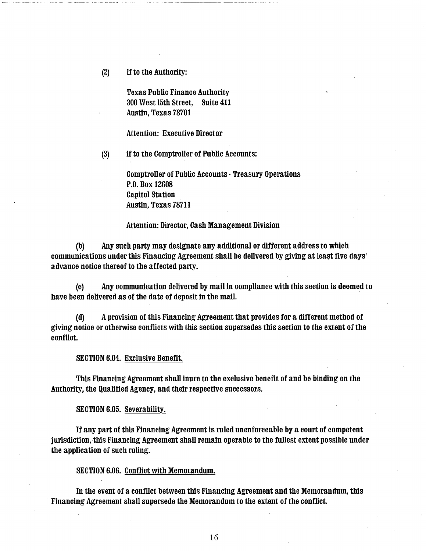(2) if to the Authority:

Texas Public Finance Authority 300 West 15th Street, Suite 411 Austin, Texas 78701

Attention: Executive Director

(3) if to the Comptroller of Public Accounts:

Comptroller of Public Accounts -Treasury Operations P.O. Box 12608 Capitol Station Austin, Texas 78711

#### Attention: Director, Cash Management Division

(b) Any such party may designate any additional or different address to which communications under this Financing Agreement shall be delivered by giving at least five days' advance notice thereof to the affected party.

(c) Any communication delivered by mail in compliance with this section is deemed to have been delivered as of the date of deposit in the mail.

(d) A provision of this Financing Agreement that provides for a different method of giving notice or otherwise conflicts with this section supersedes this section to the extent of the conflict.

SECTION 6.04. Exclusive Benefit.

This Financing Agreement shall inure to the exclusive benefit of and be binding on the Authority, the Qualified Agency, and their respective successors.

SECTION 6.05. Severability.

If any part of this Financing Agreement is ruled unenforceable by a court of competent jurisdiction, this Financing Agreement shall remain operable to the fullest extent possible under the application of such ruling.

SECTION 6.06. Conflict with Memorandum.

In the event of a conflict between this Financing Agreement and the Memorandum, this Financing Agreement shall supersede the Memorandum to the extent of the conflict.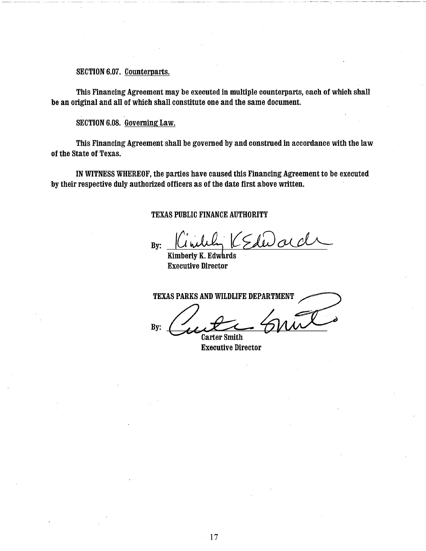## SECTION 6.07. Counterparts.

This Financing Agreement may be executed in multiple counterparts, each of which shall be an original and all of which shall constitute one and the same document.

## SECTION 6.08. Governing Law.

This Financing Agreement shall be governed by and construed in accordance with the law of the State of Texas.

IN WITNESS WHEREOF, the parties have caused this Financing Agreement to be executed by their respective duly authorized officers as of the date first above written.

### TEXAS PUBLIC FINANCE AUTHORITY

 $By:$   $\left\vert \text{Uniluh} \right\vert$  (Edevard

TEXAS PARKS AND WILDLIFE DEPARTMENT By:

**Carter Smith** Executive Director

Kimberly K. Edwards Executive Director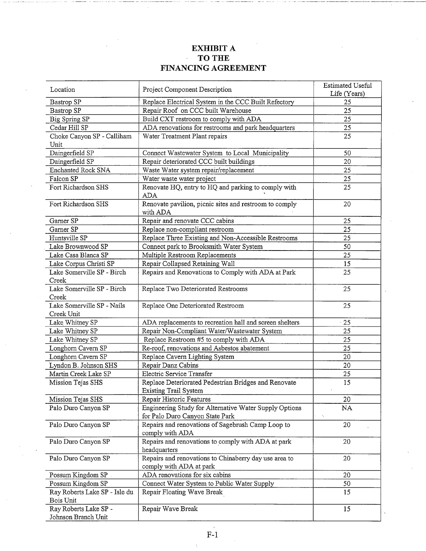#### **EXHIBIT A TO THE**   $\hat{\mathcal{A}}$ **FINANCING AGREEMENT**

|                               |                                                         | Estimated Useful |
|-------------------------------|---------------------------------------------------------|------------------|
| Location                      | Project Component Description                           | Life (Years)     |
| Bastrop SP                    | Replace Electrical System in the CCC Built Refectory    | 25               |
| Bastrop SP                    | Repair Roof on CCC built Warehouse                      | 25               |
| Big Spring SP                 | Build CXT restroom to comply with ADA                   | 25               |
| Cedar Hill SP                 | ADA renovations for restrooms and park headquarters     | 25               |
| Choke Canyon SP - Calliham.   | Water Treatment Plant repairs                           | 25               |
| Unit                          |                                                         |                  |
| Daingerfield SP               | Connect Wastewater System to Local Municipality         | 50               |
| Daingerfield SP               | Repair deteriorated CCC built buildings                 | 20               |
| Enchanted Rock SNA            | Waste Water system repair/replacement                   | 25               |
| Falcon SP                     | Water waste water project                               | 25               |
| Fort Richardson SHS           | Renovate HQ, entry to HQ and parking to comply with     | 25               |
|                               | ADA                                                     |                  |
| Fort Richardson SHS           | Renovate pavilion, picnic sites and restroom to comply  | 20               |
|                               | with ADA                                                |                  |
| Garner SP                     | Repair and renovate CCC cabins                          | 25               |
| Garner SP                     | Replace non-compliant restroom                          | 25               |
| Huntsville SP                 | Replace Three Existing and Non-Accessible Restrooms     | $25^{\circ}$     |
| Lake Brownwood SP             | Connect park to Brooksmith Water System                 | 50               |
| Lake Casa Blanca SP           | Multiple Restroom Replacements                          | 25               |
| Lake Corpus Christi SP        | Repair Collapsed Retaining Wall                         | 15               |
| Lake Somerville SP - Birch    | Repairs and Renovations to Comply with ADA at Park      | 25               |
| Creek                         |                                                         |                  |
| Lake Somerville SP - Birch    | Replace Two Deteriorated Restrooms                      | 25               |
| Creek                         |                                                         |                  |
| Lake Somerville SP - Nails    | Replace One Deteriorated Restroom                       | 25               |
| Creek Unit                    |                                                         |                  |
| Lake Whitney SP               | ADA replacements to recreation hall and screen shelters | 25               |
| Lake Whitney SP               | Repair Non-Compliant Water/Wastewater System            | 25               |
| Lake Whitney SP               | Replace Restroom #5 to comply with ADA                  | 25               |
| Longhorn Cavern SP            | Re-roof, renovations and Asbestos abatement             | 25               |
| Longhorn Cavern SP            | Replace Cavern Lighting System                          | 20               |
| Lyndon B. Johnson SHS         | Repair Danz Cabins                                      | 20               |
| Martin Creek Lake SP          | Electric Service Transfer                               | 25               |
| Mission Tejas SHS             | Replace Deteriorated Pedestrian Bridges and Renovate    | $\overline{15}$  |
|                               | <b>Existing Trail System</b>                            |                  |
| Mission Tejas SHS             | Repair Historic Features                                | 20               |
| Palo Duro Canyon SP           | Engineering Study for Alternative Water Supply Options  | NA               |
|                               | for Palo Duro Canyon State Park                         | $\bar{\gamma}$   |
| Palo Duro Canyon SP           | Repairs and renovations of Sagebrush Camp Loop to       | 20               |
|                               | comply with ADA                                         |                  |
| Palo Duro Canyon SP           | Repairs and renovations to comply with ADA at park      | 20               |
|                               | headquarters                                            |                  |
| Palo Duro Canyon SP           | Repairs and renovations to Chinaberry day use area to   | 20               |
|                               | comply with ADA at park                                 |                  |
| Possum Kingdom SP             | ADA renovations for six cabins                          | 20               |
| Possum Kingdom SP             | Connect Water System to Public Water Supply             | 50               |
| Ray Roberts Lake SP - Isle du | Repair Floating Wave Break                              | 15               |
| Bois Unit                     |                                                         |                  |
| Ray Roberts Lake SP -         | Repair Wave Break                                       | 15               |
| Johnson Branch Unit           |                                                         |                  |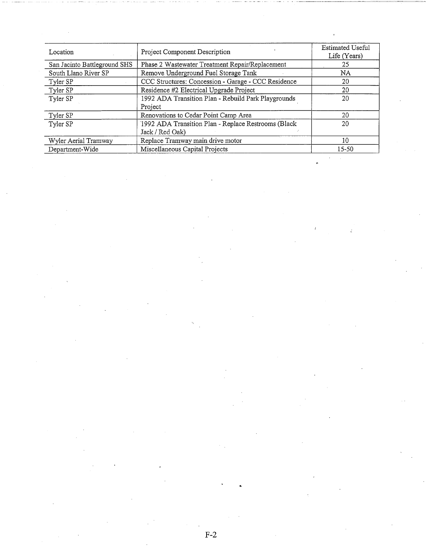| Location                     | Project Component Description                       | <b>Estimated Useful</b><br>Life (Years) |
|------------------------------|-----------------------------------------------------|-----------------------------------------|
| San Jacinto Battleground SHS | Phase 2 Wastewater Treatment Repair/Replacement     | 25                                      |
| South Llano River SP         | Remove Underground Fuel Storage Tank                | NA                                      |
| Tyler SP                     | CCC Structures: Concession - Garage - CCC Residence | 20                                      |
| Tyler SP                     | Residence #2 Electrical Upgrade Project             | 20                                      |
| Tyler SP                     | 1992 ADA Transition Plan - Rebuild Park Playgrounds | 20                                      |
|                              | Project                                             |                                         |
| Tyler SP                     | Renovations to Cedar Point Camp Area                | 20                                      |
| Tyler SP                     | 1992 ADA Transition Plan - Replace Restrooms (Black | 20                                      |
|                              | Jack / Red Oak)                                     |                                         |
| Wyler Aerial Tramway         | Replace Tramway main drive motor                    | 10                                      |
| Department-Wide              | Miscellaneous Capital Projects                      | 15-50                                   |

 $\ddot{\zeta}$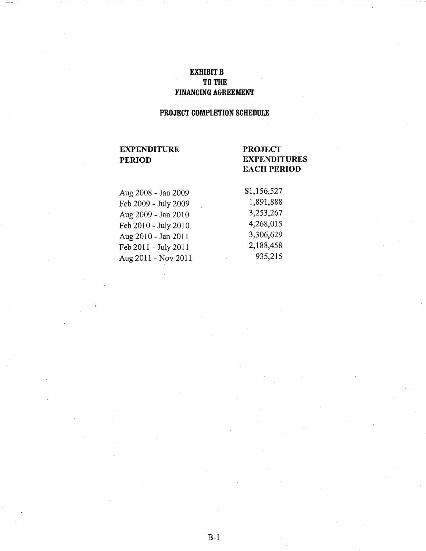# EXHIBIT B TO THE FINANCING AGREEMENT

# PROJECT COMPLETION SCHEDULE

# EXPENDITURE PERIOD

# PROJECT EXPENDITURES EACH PERIOD

| Aug 2008 - Jan 2009  | \$1,156,527  |
|----------------------|--------------|
| Feb 2009 - July 2009 | 1,891,888    |
| Aug 2009 - Jan 2010  | 3,253,267    |
| Feb 2010 - July 2010 | 4,268,015    |
| Aug 2010 - Jan 2011  | 3,306,629    |
| Feb 2011 - July 2011 | 2,188,458    |
| Aug 2011 - Nov 2011  | 935,215<br>ï |
|                      |              |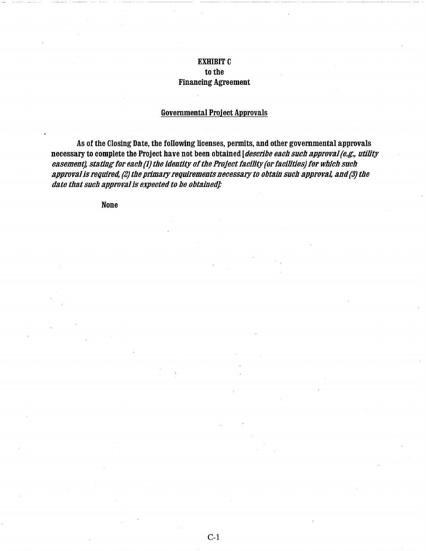# EXHIBIT C to the Financing Agreement

## Governmental Project Approvals

As of the Closing Date, the following licenses, permits, and other governmental approvals necessary to complete the Project have not been obtained [*describe each such approval (e.g., utility* easement), stating for each (1) the identity of the Project facility (or facilities) for which such approval is required, (2) the primary requirements necessary to obtain such approval, and *(3)* the date that such approval is expected to be obtained]:

None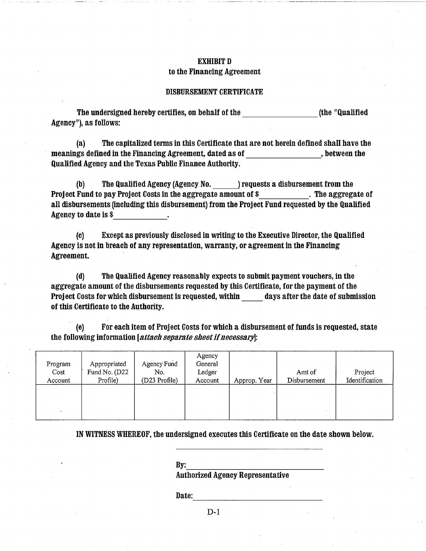## EXHIBIT D to the Financing Agreement

## DISBURSEMENT CERTIFICATE

The undersigned hereby certifies, on behalf of the the control of the "Qualified" Agency"), as follows:

(a) The capitalized terms in this Certificate that are not herein defined shall have the meanings defined in the Financing Agreement, dated as of , between the Qualified Agency and the Texas Public Finance Authority.

(b) The Qualified Agency (Agency No. ) requests a disbursement from the Project Fund to pay Project Costs in the aggregate amount of \$ . The aggregate of all disbursements (including this disbursement) from the Project Fund requested by the Qualified<br>Agency to date is \$\_\_\_\_\_\_\_\_\_\_\_\_\_\_\_\_\_\_. Agency to date is \$

(c) Except as previously disclosed in writing to the Executive Director, the Qualified Agency is not in breach of any representation, warranty, or agreement in the Financing Agreement.

(d) The Qualified Agency reasonably expects to submit payment vouchers, in the aggregate amount of the disbursements requested by this Certificate, for the payment of the Project Costs for which disbursement is requested, within days after the date of submission of this Certificate to the Authority.

(e) For each item of Project Costs for which a disbursement of funds is requested, state the following information [attach separate sheet if necessary]:

| Program<br>Cost<br>Account | Appropriated<br>Fund No. (D22<br>Profile) | Agency Fund<br>No.<br>(D23 Profile) | Agency<br>General<br>Ledger<br>Account | Approp. Year | Amt of<br>Disbursement | Project<br>Identification |
|----------------------------|-------------------------------------------|-------------------------------------|----------------------------------------|--------------|------------------------|---------------------------|
|                            |                                           |                                     |                                        |              |                        |                           |

IN WITNESS WHEREOF, the undersigned executes this Certificate on the date shown below.

By:<br>Authorized Agency Representative

Date: -------------

D-1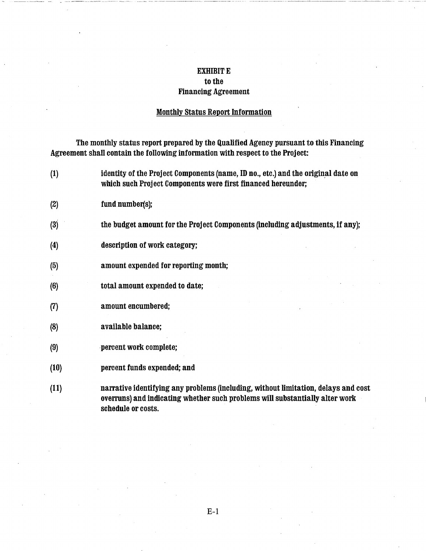## EXHIBIT E to the Financing Agreement

## Monthly Status Report Information

The monthly status report prepared by the Qualified Agency pursuant to this Financing Agreement shall contain the following information with respect to the Project:

(1) identity of the Project Components (name, ID no., etc.) and the original date on which such Project Components were first financed hereunder; (2) fund number(s); (3) the budget amount for the Project Components (including adjustments, if any); (4) description of work category; (5) amount expended for reporting month; (6) total amount expended to date; (7) amount encumbered; (8) available balance; (9) percent work complete; (10) percent funds expended; and (11) narrative identifying any problems (including, without limitation, delays and cost overruns) and indicating whether such problems will substantially alter work schedule or costs.